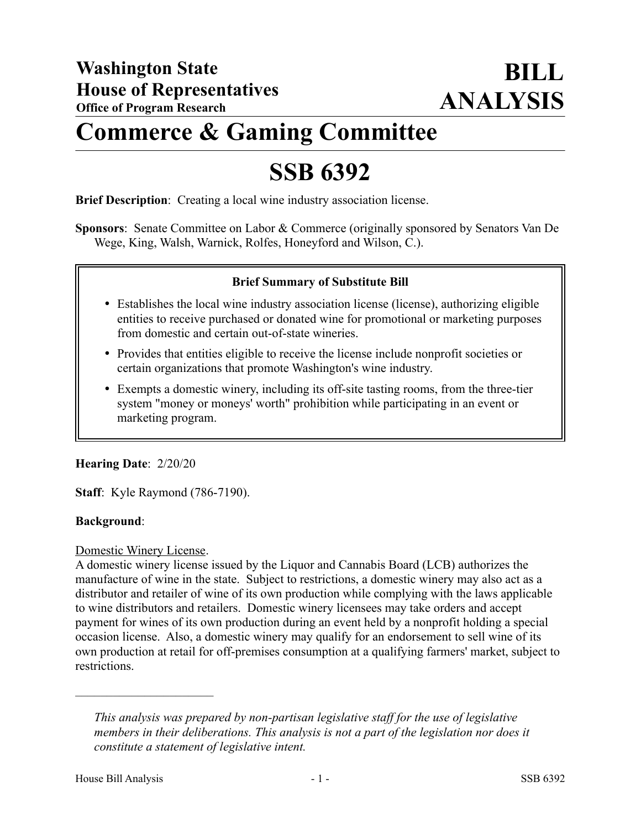# **Commerce & Gaming Committee**

# **SSB 6392**

**Brief Description**: Creating a local wine industry association license.

**Sponsors**: Senate Committee on Labor & Commerce (originally sponsored by Senators Van De Wege, King, Walsh, Warnick, Rolfes, Honeyford and Wilson, C.).

#### **Brief Summary of Substitute Bill**

- Establishes the local wine industry association license (license), authorizing eligible entities to receive purchased or donated wine for promotional or marketing purposes from domestic and certain out-of-state wineries.
- Provides that entities eligible to receive the license include nonprofit societies or certain organizations that promote Washington's wine industry.
- Exempts a domestic winery, including its off-site tasting rooms, from the three-tier system "money or moneys' worth" prohibition while participating in an event or marketing program.

#### **Hearing Date**: 2/20/20

**Staff**: Kyle Raymond (786-7190).

#### **Background**:

#### Domestic Winery License.

––––––––––––––––––––––

A domestic winery license issued by the Liquor and Cannabis Board (LCB) authorizes the manufacture of wine in the state. Subject to restrictions, a domestic winery may also act as a distributor and retailer of wine of its own production while complying with the laws applicable to wine distributors and retailers. Domestic winery licensees may take orders and accept payment for wines of its own production during an event held by a nonprofit holding a special occasion license. Also, a domestic winery may qualify for an endorsement to sell wine of its own production at retail for off-premises consumption at a qualifying farmers' market, subject to restrictions.

*This analysis was prepared by non-partisan legislative staff for the use of legislative members in their deliberations. This analysis is not a part of the legislation nor does it constitute a statement of legislative intent.*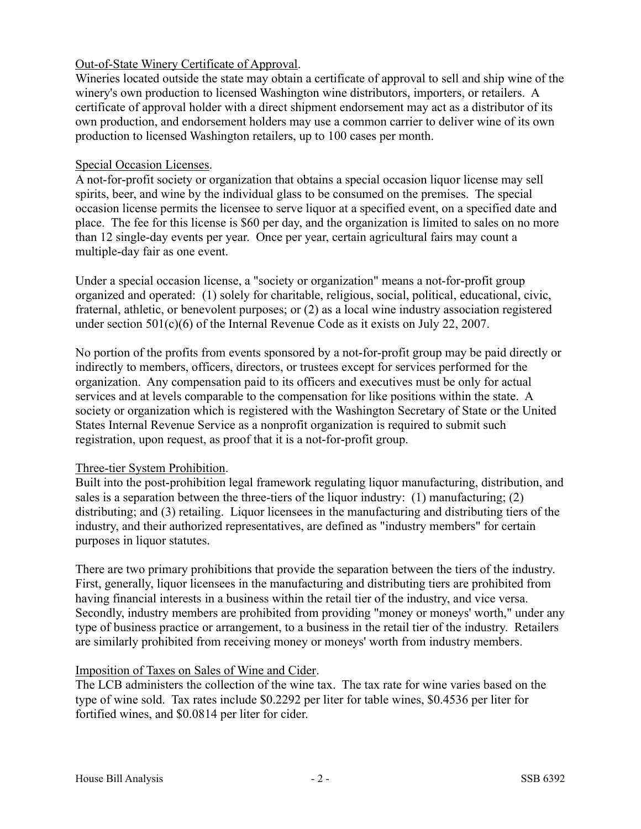## Out-of-State Winery Certificate of Approval.

Wineries located outside the state may obtain a certificate of approval to sell and ship wine of the winery's own production to licensed Washington wine distributors, importers, or retailers. A certificate of approval holder with a direct shipment endorsement may act as a distributor of its own production, and endorsement holders may use a common carrier to deliver wine of its own production to licensed Washington retailers, up to 100 cases per month.

#### Special Occasion Licenses.

A not-for-profit society or organization that obtains a special occasion liquor license may sell spirits, beer, and wine by the individual glass to be consumed on the premises. The special occasion license permits the licensee to serve liquor at a specified event, on a specified date and place. The fee for this license is \$60 per day, and the organization is limited to sales on no more than 12 single-day events per year. Once per year, certain agricultural fairs may count a multiple-day fair as one event.

Under a special occasion license, a "society or organization" means a not-for-profit group organized and operated: (1) solely for charitable, religious, social, political, educational, civic, fraternal, athletic, or benevolent purposes; or (2) as a local wine industry association registered under section 501(c)(6) of the Internal Revenue Code as it exists on July 22, 2007.

No portion of the profits from events sponsored by a not-for-profit group may be paid directly or indirectly to members, officers, directors, or trustees except for services performed for the organization. Any compensation paid to its officers and executives must be only for actual services and at levels comparable to the compensation for like positions within the state. A society or organization which is registered with the Washington Secretary of State or the United States Internal Revenue Service as a nonprofit organization is required to submit such registration, upon request, as proof that it is a not-for-profit group.

## Three-tier System Prohibition.

Built into the post-prohibition legal framework regulating liquor manufacturing, distribution, and sales is a separation between the three-tiers of the liquor industry: (1) manufacturing; (2) distributing; and (3) retailing. Liquor licensees in the manufacturing and distributing tiers of the industry, and their authorized representatives, are defined as "industry members" for certain purposes in liquor statutes.

There are two primary prohibitions that provide the separation between the tiers of the industry. First, generally, liquor licensees in the manufacturing and distributing tiers are prohibited from having financial interests in a business within the retail tier of the industry, and vice versa. Secondly, industry members are prohibited from providing "money or moneys' worth," under any type of business practice or arrangement, to a business in the retail tier of the industry. Retailers are similarly prohibited from receiving money or moneys' worth from industry members.

## Imposition of Taxes on Sales of Wine and Cider.

The LCB administers the collection of the wine tax. The tax rate for wine varies based on the type of wine sold. Tax rates include \$0.2292 per liter for table wines, \$0.4536 per liter for fortified wines, and \$0.0814 per liter for cider.